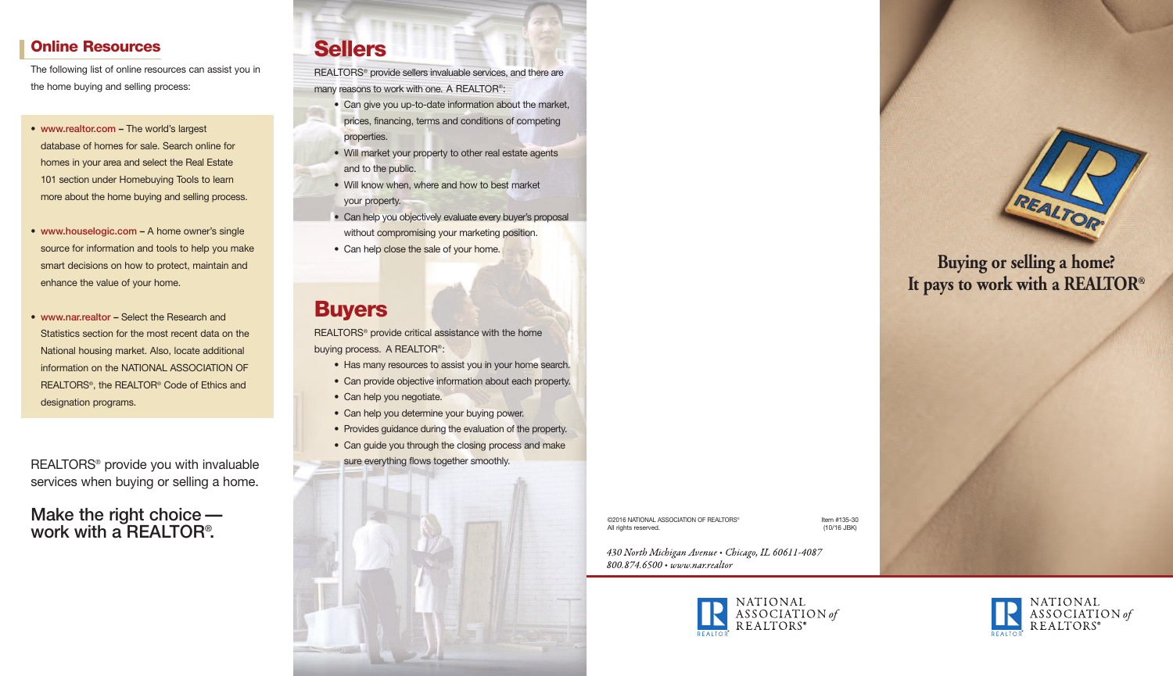#### **Online Resources**

The following list of online resources can assist you in the home buying and selling process:

- www.realtor.com The world's largest database of homes for sale. Search online for homes in your area and select the Real Estate 101 section under Homebuying Tools to learn more about the home buying and selling process.
- www.houselogic.com A home owner's single source for information and tools to help you make smart decisions on how to protect, maintain and enhance the value of your home.
- www.nar.realtor Select the Research and Statistics section for the most recent data on the National housing market. Also, locate additional information on the NATIONAL ASSOCIATION OF REALTORS®, the REALTOR® Code of Ethics and designation programs.

REALTORS® provide you with invaluable services when buying or selling a home.

Make the right choice work with a REALTOR® .

# **Sellers**

REALTORS® provide sellers invaluable services, and there are many reasons to work with one. A REALTOR®:

- Can give you up-to-date information about the market,
- prices, financing, terms and conditions of competing properties.
- Will market your property to other real estate agents and to the public.
- Will know when, where and how to best market your property.
- Can help you objectively evaluate every buyer's proposal without compromising your marketing position.
- Can help close the sale of your home.

### **Buyers**

REALTORS® provide critical assistance with the home buying process. A REALTOR®:

- Has many resources to assist you in your home search.
- Can provide objective information about each property.
- Can help you negotiate.
- Can help you determine your buying power.
- Provides guidance during the evaluation of the property.
- Can guide you through the closing process and make
- sure everything flows together smoothly.

©2016 NATIONAL ASSOCIATION OF REALTORS® **Internal and the matrice of the matrice of the matrice of the matrice of the matrice of the matrice of the matrice of the matrice of the matrice of the matrice of the matrice of the** All rights reserved.

430 North Michigan Avenue · Chicago, IL 60611-4087 800.874.6500 • www.nar.realtor





### **Buying or selling a home? It pays to work with a REALTOR®.**